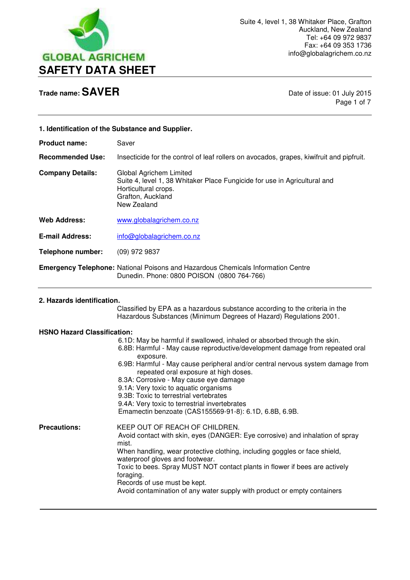

 $\overline{a}$ 

Page 1 of 7

| 1. Identification of the Substance and Supplier.                                                          |                                                                                                                                                                                                                                                                                                |
|-----------------------------------------------------------------------------------------------------------|------------------------------------------------------------------------------------------------------------------------------------------------------------------------------------------------------------------------------------------------------------------------------------------------|
| <b>Product name:</b>                                                                                      | Saver                                                                                                                                                                                                                                                                                          |
| <b>Recommended Use:</b>                                                                                   | Insecticide for the control of leaf rollers on avocados, grapes, kiwifruit and pipfruit.                                                                                                                                                                                                       |
| <b>Company Details:</b>                                                                                   | Global Agrichem Limited<br>Suite 4, level 1, 38 Whitaker Place Fungicide for use in Agricultural and<br>Horticultural crops.<br>Grafton, Auckland<br>New Zealand                                                                                                                               |
| <b>Web Address:</b>                                                                                       | www.globalagrichem.co.nz                                                                                                                                                                                                                                                                       |
| <b>E-mail Address:</b>                                                                                    | info@globalagrichem.co.nz                                                                                                                                                                                                                                                                      |
| <b>Telephone number:</b>                                                                                  | $(09)$ 972 9837                                                                                                                                                                                                                                                                                |
|                                                                                                           | <b>Emergency Telephone: National Poisons and Hazardous Chemicals Information Centre</b><br>Dunedin. Phone: 0800 POISON (0800 764-766)                                                                                                                                                          |
| 2. Hazards identification.<br>Classified by EPA as a hazardous substance according to the criteria in the |                                                                                                                                                                                                                                                                                                |
|                                                                                                           | Hazardous Substances (Minimum Degrees of Hazard) Regulations 2001.                                                                                                                                                                                                                             |
| <b>HSNO Hazard Classification:</b>                                                                        | 6.1D: May be harmful if swallowed, inhaled or absorbed through the skin.<br>6.8B: Harmful - May cause reproductive/development damage from repeated oral<br>exposure.<br>6.9B: Harmful - May cause peripheral and/or central nervous system damage from<br>repeated and concerns at bird deces |

- repeated oral exposure at high doses.
- 8.3A: Corrosive May cause eye damage 9.1A: Very toxic to aquatic organisms
- 
- 9.3B: Toxic to terrestrial vertebrates

9.4A: Very toxic to terrestrial invertebrates

Emamectin benzoate (CAS155569-91-8): 6.1D, 6.8B, 6.9B.

**Precautions:** KEEP OUT OF REACH OF CHILDREN. Avoid contact with skin, eyes (DANGER: Eye corrosive) and inhalation of spray mist. When handling, wear protective clothing, including goggles or face shield, waterproof gloves and footwear. Toxic to bees. Spray MUST NOT contact plants in flower if bees are actively foraging. Records of use must be kept. Avoid contamination of any water supply with product or empty containers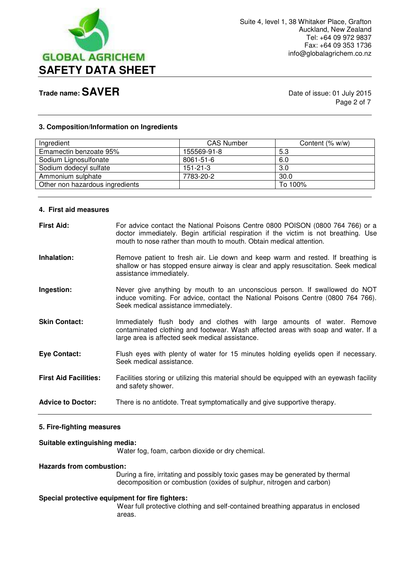

Page 2 of 7

## **3. Composition/Information on Ingredients**

| Ingredient                      | <b>CAS Number</b> | Content (% w/w) |
|---------------------------------|-------------------|-----------------|
| Emamectin benzoate 95%          | 155569-91-8       | 5.3             |
| Sodium Lignosulfonate           | 8061-51-6         | 6.0             |
| Sodium dodecyl sulfate          | $151 - 21 - 3$    | 3.0             |
| Ammonium sulphate               | 7783-20-2         | 30.0            |
| Other non hazardous ingredients |                   | To 100%         |

#### **4. First aid measures**

| <b>First Aid:</b>            | For advice contact the National Poisons Centre 0800 POISON (0800 764 766) or a<br>doctor immediately. Begin artificial respiration if the victim is not breathing. Use<br>mouth to nose rather than mouth to mouth. Obtain medical attention. |
|------------------------------|-----------------------------------------------------------------------------------------------------------------------------------------------------------------------------------------------------------------------------------------------|
| Inhalation:                  | Remove patient to fresh air. Lie down and keep warm and rested. If breathing is<br>shallow or has stopped ensure airway is clear and apply resuscitation. Seek medical<br>assistance immediately.                                             |
| Ingestion:                   | Never give anything by mouth to an unconscious person. If swallowed do NOT<br>induce vomiting. For advice, contact the National Poisons Centre (0800 764 766).<br>Seek medical assistance immediately.                                        |
| <b>Skin Contact:</b>         | Immediately flush body and clothes with large amounts of water. Remove<br>contaminated clothing and footwear. Wash affected areas with soap and water. If a<br>large area is affected seek medical assistance.                                |
| <b>Eye Contact:</b>          | Flush eyes with plenty of water for 15 minutes holding eyelids open if necessary.<br>Seek medical assistance.                                                                                                                                 |
| <b>First Aid Facilities:</b> | Facilities storing or utilizing this material should be equipped with an eyewash facility<br>and safety shower.                                                                                                                               |
| <b>Advice to Doctor:</b>     | There is no antidote. Treat symptomatically and give supportive therapy.                                                                                                                                                                      |

## **5. Fire-fighting measures**

### **Suitable extinguishing media:**

Water fog, foam, carbon dioxide or dry chemical.

#### **Hazards from combustion:**

During a fire, irritating and possibly toxic gases may be generated by thermal decomposition or combustion (oxides of sulphur, nitrogen and carbon)

## **Special protective equipment for fire fighters:**

Wear full protective clothing and self-contained breathing apparatus in enclosed areas.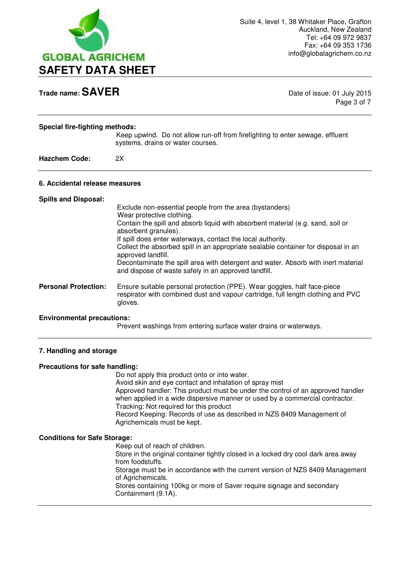

Page 3 of 7

| <b>Special fire-fighting methods:</b><br><b>Hazchem Code:</b> | Keep upwind. Do not allow run-off from firefighting to enter sewage, effluent<br>systems, drains or water courses.<br>2X                                                                                                                                                                                                                                                                                                                                                                                                |
|---------------------------------------------------------------|-------------------------------------------------------------------------------------------------------------------------------------------------------------------------------------------------------------------------------------------------------------------------------------------------------------------------------------------------------------------------------------------------------------------------------------------------------------------------------------------------------------------------|
| 6. Accidental release measures                                |                                                                                                                                                                                                                                                                                                                                                                                                                                                                                                                         |
| <b>Spills and Disposal:</b>                                   | Exclude non-essential people from the area (bystanders)<br>Wear protective clothing.<br>Contain the spill and absorb liquid with absorbent material (e.g. sand, soil or<br>absorbent granules).<br>If spill does enter waterways, contact the local authority.<br>Collect the absorbed spill in an appropriate sealable container for disposal in an<br>approved landfill.<br>Decontaminate the spill area with detergent and water. Absorb with inert material<br>and dispose of waste safely in an approved landfill. |
| <b>Personal Protection:</b>                                   | Ensure suitable personal protection (PPE). Wear goggles, half face-piece<br>respirator with combined dust and vapour cartridge, full length clothing and PVC<br>gloves.                                                                                                                                                                                                                                                                                                                                                 |

### **Environmental precautions:**

Prevent washings from entering surface water drains or waterways.

## **7. Handling and storage**

### **Precautions for safe handling:**

Do not apply this product onto or into water.

Avoid skin and eye contact and inhalation of spray mist

 Approved handler: This product must be under the control of an approved handler when applied in a wide dispersive manner or used by a commercial contractor. Tracking: Not required for this product

 Record Keeping: Records of use as described in NZS 8409 Management of Agrichemicals must be kept.

### **Conditions for Safe Storage:**

 Keep out of reach of children. Store in the original container tightly closed in a locked dry cool dark area away from foodstuffs. Storage must be in accordance with the current version of NZS 8409 Management of Agrichemicals. Stores containing 100kg or more of Saver require signage and secondary Containment (9.1A).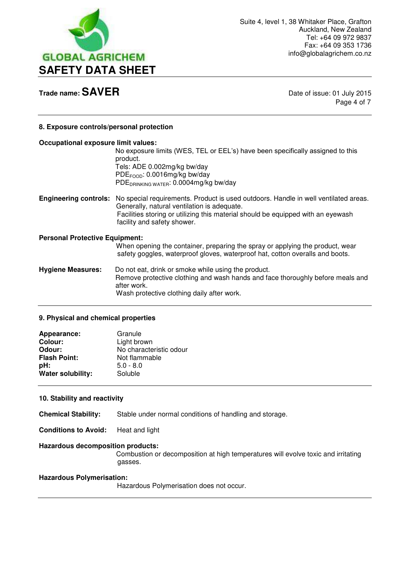

Page 4 of 7

## **8. Exposure controls/personal protection**

## **Occupational exposure limit values:**  No exposure limits (WES, TEL or EEL's) have been specifically assigned to this product. Tels: ADE 0.002mg/kg bw/day PDE<sub>FOOD</sub>: 0.0016mg/kg bw/day PDEDRINKING WATER: 0.0004mg/kg bw/day **Engineering controls:** No special requirements. Product is used outdoors. Handle in well ventilated areas. Generally, natural ventilation is adequate. Facilities storing or utilizing this material should be equipped with an eyewash facility and safety shower. **Personal Protective Equipment:**  When opening the container, preparing the spray or applying the product, wear safety goggles, waterproof gloves, waterproof hat, cotton overalls and boots. **Hygiene Measures:** Do not eat, drink or smoke while using the product. Remove protective clothing and wash hands and face thoroughly before meals and after work. Wash protective clothing daily after work.

### **9. Physical and chemical properties**

| Appearance:         | Granule                 |
|---------------------|-------------------------|
| <b>Colour:</b>      | Light brown             |
| Odour:              | No characteristic odour |
| <b>Flash Point:</b> | Not flammable           |
| pH:                 | $5.0 - 8.0$             |
| Water solubility:   | Soluble                 |

## **10. Stability and reactivity**

**Chemical Stability:** Stable under normal conditions of handling and storage.

**Conditions to Avoid:** Heat and light

### **Hazardous decomposition products:**

Combustion or decomposition at high temperatures will evolve toxic and irritating gasses.

### **Hazardous Polymerisation:**

Hazardous Polymerisation does not occur.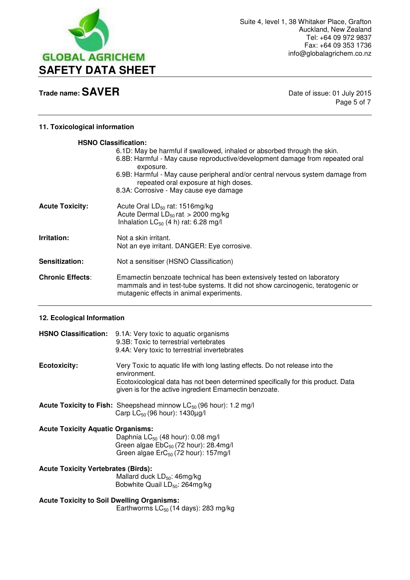

Page 5 of 7

## **11. Toxicological information**

| <b>HSNO Classification:</b> |                                                                                                                                                                                                      |
|-----------------------------|------------------------------------------------------------------------------------------------------------------------------------------------------------------------------------------------------|
|                             | 6.1D: May be harmful if swallowed, inhaled or absorbed through the skin.<br>6.8B: Harmful - May cause reproductive/development damage from repeated oral<br>exposure.                                |
|                             | 6.9B: Harmful - May cause peripheral and/or central nervous system damage from<br>repeated oral exposure at high doses.                                                                              |
|                             | 8.3A: Corrosive - May cause eye damage                                                                                                                                                               |
| <b>Acute Toxicity:</b>      | Acute Oral $LD_{50}$ rat: 1516mg/kg<br>Acute Dermal $LD_{50}$ rat $> 2000$ mg/kg<br>Inhalation $LC_{50}$ (4 h) rat: 6.28 mg/l                                                                        |
| Irritation:                 | Not a skin irritant.<br>Not an eye irritant. DANGER: Eye corrosive.                                                                                                                                  |
| Sensitization:              | Not a sensitiser (HSNO Classification)                                                                                                                                                               |
| <b>Chronic Effects:</b>     | Emamectin benzoate technical has been extensively tested on laboratory<br>mammals and in test-tube systems. It did not show carcinogenic, teratogenic or<br>mutagenic effects in animal experiments. |

## **12. Ecological Information**

|                                                                                                | HSNO Classification: 9.1A: Very toxic to aquatic organisms<br>9.3B: Toxic to terrestrial vertebrates<br>9.4A: Very toxic to terrestrial invertebrates                                                                                        |
|------------------------------------------------------------------------------------------------|----------------------------------------------------------------------------------------------------------------------------------------------------------------------------------------------------------------------------------------------|
| <b>Ecotoxicity:</b>                                                                            | Very Toxic to aquatic life with long lasting effects. Do not release into the<br>environment.<br>Ecotoxicological data has not been determined specifically for this product. Data<br>given is for the active ingredient Emamectin benzoate. |
|                                                                                                | <b>Acute Toxicity to Fish:</b> Sheepshead minnow $LC_{50}$ (96 hour): 1.2 mg/l<br>Carp $LC_{50}$ (96 hour): 1430 $\mu$ g/l                                                                                                                   |
| <b>Acute Toxicity Aquatic Organisms:</b>                                                       | Daphnia $LC_{50}$ (48 hour): 0.08 mg/l<br>Green algae EbC <sub>50</sub> (72 hour): 28.4mg/l<br>Green algae $E r C_{50}$ (72 hour): 157mg/l                                                                                                   |
| <b>Acute Toxicity Vertebrates (Birds):</b>                                                     | Mallard duck $LD_{50}$ : 46mg/kg<br>Bobwhite Quail LD <sub>50</sub> : 264mg/kg                                                                                                                                                               |
| <b>Acute Toxicity to Soil Dwelling Organisms:</b><br>Earthworms $LC_{50}$ (14 days): 283 mg/kg |                                                                                                                                                                                                                                              |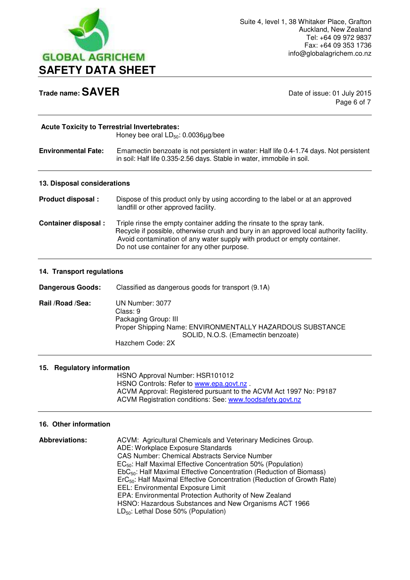

Page 6 of 7

| <b>Acute Toxicity to Terrestrial Invertebrates:</b> | Honey bee oral $LD_{50}$ : 0.0036 $\mu$ g/bee                                                                                                                                                                                                                                               |
|-----------------------------------------------------|---------------------------------------------------------------------------------------------------------------------------------------------------------------------------------------------------------------------------------------------------------------------------------------------|
| <b>Environmental Fate:</b>                          | Emamectin benzoate is not persistent in water: Half life 0.4-1.74 days. Not persistent<br>in soil: Half life 0.335-2.56 days. Stable in water, immobile in soil.                                                                                                                            |
| 13. Disposal considerations                         |                                                                                                                                                                                                                                                                                             |
| <b>Product disposal:</b>                            | Dispose of this product only by using according to the label or at an approved<br>landfill or other approved facility.                                                                                                                                                                      |
| <b>Container disposal:</b>                          | Triple rinse the empty container adding the rinsate to the spray tank.<br>Recycle if possible, otherwise crush and bury in an approved local authority facility.<br>Avoid contamination of any water supply with product or empty container.<br>Do not use container for any other purpose. |

## **14. Transport regulations**

| <b>Dangerous Goods:</b> | Classified as dangerous goods for transport (9.1A)                                                                                                                         |
|-------------------------|----------------------------------------------------------------------------------------------------------------------------------------------------------------------------|
| Rail /Road /Sea:        | UN Number: 3077<br>Class: 9<br>Packaging Group: III<br>Proper Shipping Name: ENVIRONMENTALLY HAZARDOUS SUBSTANCE<br>SOLID, N.O.S. (Emamectin benzoate)<br>Hazchem Code: 2X |

## **15. Regulatory information**

 HSNO Approval Number: HSR101012 HSNO Controls: Refer to [www.epa.govt.nz](http://www.epa.govt.nz/). ACVM Approval: Registered pursuant to the ACVM Act 1997 No: P9187 ACVM Registration conditions: See: [www.foodsafety.govt.nz](http://www.foodsafety.govt.nz/) 

## **16. Other information**

| <b>Abbreviations:</b> | ACVM: Agricultural Chemicals and Veterinary Medicines Group.                        |
|-----------------------|-------------------------------------------------------------------------------------|
|                       | ADE: Workplace Exposure Standards                                                   |
|                       | <b>CAS Number: Chemical Abstracts Service Number</b>                                |
|                       | $EC_{50}$ : Half Maximal Effective Concentration 50% (Population)                   |
|                       | EbC <sub>50</sub> : Half Maximal Effective Concentration (Reduction of Biomass)     |
|                       | ErC <sub>50</sub> : Half Maximal Effective Concentration (Reduction of Growth Rate) |
|                       | EEL: Environmental Exposure Limit                                                   |
|                       | EPA: Environmental Protection Authority of New Zealand                              |
|                       | HSNO: Hazardous Substances and New Organisms ACT 1966                               |
|                       | $LD_{50}$ : Lethal Dose 50% (Population)                                            |